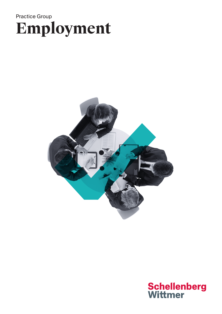# Practice Group **Employment**



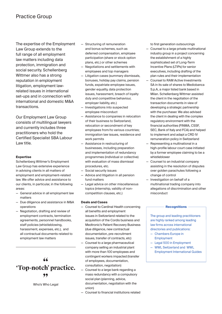The expertise of the Employment Law Group extends to the full range of all employment law matters including data protection, immigration and social security. Schellenberg Wittmer also has a strong reputation in employment litigation, employment lawrelated issues in international set-ups and in connection with international and domestic M&A transactions.

Our Employment Law Group consists of multilingual lawyers and currently includes three practitioners who hold the Certified Specialist SBA Labour Law title.

### **Expertise**

Schellenberg Wittmer's Employment Law Group has extensive experience in advising clients in all matters of employment and employment-related law. We offer advice and assistance to our clients, in particular, in the following areas:

- General advice in all employment law matters
- Due diligence and assistance in M&A operations
- Negotiation, drafting and review of employment contracts, termination agreements, personnel handbooks, staff policies (whistleblowing, harassment, expenses, etc.), and all contractual documents related to employment law matters

## **" 'Top-notch' practice. "**

Who's Who Legal

- Structuring of remuneration and bonus schemes, such as deferred compensation, employee participation (share or stock option plans, etc.) or other schemes
- Negotiations and settlements with employees and top managers
- Litigation cases (summary dismissals, bonuses, holiday pay claims, pension funds, expatriate employee issues, gender equality, data protection issues, harassment, breach of loyalty duty and competitive behaviour, employer liability, etc.)
- Investigations into suspected employee misconduct
- Assistance to companies in relocation of their business to Switzerland, relocation or secondment of key employees from/to various countries; immigration law issues, residence and work permits
- Assistance in restructuring of businesses, including preparation and implementation of redundancy programmes (individual or collective) with evaluation of mass dismissal procedures, etc.
- Social security issues
- Advice and litigation in all pension fund matters
- Legal advice on other miscellaneous topics (internship, validity of noncompetition clauses, etc.)

### **Deals and Cases**

- Counsel to Cardinal Health concerning all benefits and employment issues in Switzerland related to the acquisition of the Cordis business and Medtronic's Patient Recovery Business (due diligence, new contractual documentation, pre-recruitment issues, transfer of contracts, etc)
- Counsel to a large pharmaceutical company selling an industrial plant with more than 100 employees and contingent workers impacted (transfer of employees, documentation, consultation, negotiation)
- Counsel to a large bank regarding a mass redundancy with a compulsory social plan (planning, advice, documentation, negotiation with the union)
- Counsel to financial institutions related

to first generation outsourcings

- Counsel to a large private multinational industry group in a project concerning the establishment of a highly sophisticated set of Long-Term Incentive Plans (LTIPs) for senior executives, including drafting of the plan rules and their implementation
- Counsel to RAM Active Investments SA in its sale of shares to Mediobanca S.p.A, a major listed bank based in Milan. Schellenberg Wittmer assisted the client in the negotiation of the transaction documents in view of developing a strategic partnership with the purchaser. We also advised the client in dealing with the complex regulatory environment with the financial authorities (FINMA, CSSF, SEC, Bank of Italy and FCA) and helped to implement and adapt a CRD IV remuneration policy in Switzerland
- Representing a multinational in a high-profile labour court case initiated by a former employee claiming to be a whistleblower
- Counsel to an industrial company assisting in the resolution of disputes over golden parachutes following a change of control
- Investigation on behalf of a multinational trading company into allegations of discrimination and other misconduct

### **Recognitions**

The group and leading practitioners are highly ranked among leading law firms across international directories and publications:

- Chambers Europe in Employment
- Legal 500 in Employment
- WWL Switzerland and WWL Employment International Guides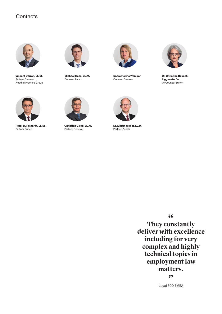## **Contacts**



**Vincent Carron, LL.M.** Partner Geneva Head of Practice Group



**Michael Hess, LL.M.** Counsel Zurich



**Dr. Catherine Weniger** Counsel Geneva



**Dr. Christine Beusch-Liggenstorfer** Of Counsel Zurich



**Peter Burckhardt, LL.M.** Partner Zurich



**Christian Girod, LL.M.** Partner Geneva



**Dr. Martin Weber, LL.M.** Partner Zurich

**" They constantly deliver with excellence including for very complex and highly technical topics in employment law matters. "**

Legal 500 EMEA